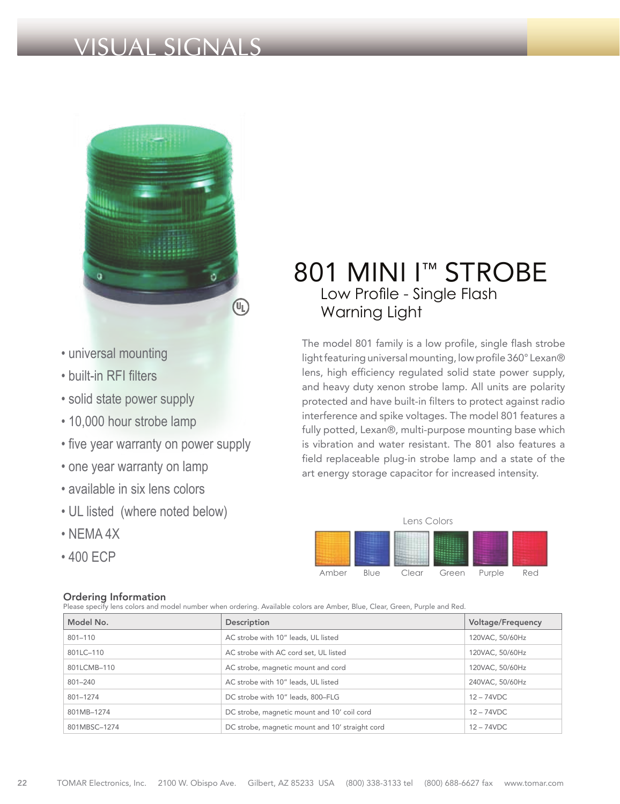# VISUAL SIGNALS



- universal mounting
- built-in RFI filters
- solid state power supply
- 10,000 hour strobe lamp
- five year warranty on power supply
- one year warranty on lamp
- available in six lens colors
- UL listed (where noted below)
- NEMA 4X
- 400 ECP

### Ordering Information

Please specify lens colors and model number when ordering. Available colors are Amber, Blue, Clear, Green, Purple and Red.

## 801 MINI I<sup>™</sup> STROBE Low Profile - Single Flash Warning Light

The model 801 family is a low profile, single flash strobe light featuring universal mounting, low profile 360° Lexan® lens, high efficiency regulated solid state power supply, and heavy duty xenon strobe lamp. All units are polarity protected and have built-in filters to protect against radio interference and spike voltages. The model 801 features a fully potted, Lexan®, multi-purpose mounting base which is vibration and water resistant. The 801 also features a field replaceable plug-in strobe lamp and a state of the art energy storage capacitor for increased intensity.



|  | Model No.    | Description                                     | Voltage/Frequency |
|--|--------------|-------------------------------------------------|-------------------|
|  | 801-110      | AC strobe with 10" leads, UL listed             | 120VAC, 50/60Hz   |
|  | 801LC-110    | AC strobe with AC cord set, UL listed           | 120VAC, 50/60Hz   |
|  | 801LCMB-110  | AC strobe, magnetic mount and cord              | 120VAC, 50/60Hz   |
|  | 801-240      | AC strobe with 10" leads, UL listed             | 240VAC, 50/60Hz   |
|  | 801-1274     | DC strobe with 10" leads, 800-FLG               | $12 - 74$ VDC     |
|  | 801MB-1274   | DC strobe, magnetic mount and 10' coil cord     | $12 - 74$ VDC     |
|  | 801MBSC-1274 | DC strobe, magnetic mount and 10' straight cord | $12 - 74$ VDC     |